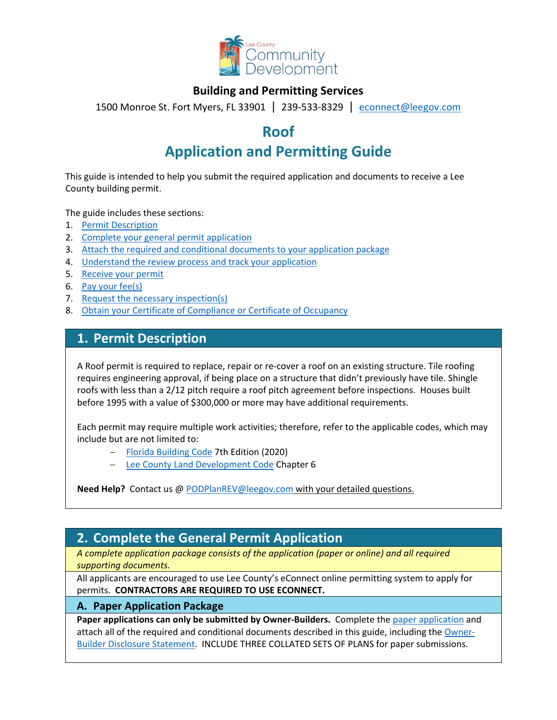

## **Building and Permitting Services**

1500 Monroe St. Fort Myers, FL 33901 | 239-533-8329 |[econnect@leegov.com](mailto:econnect@leegov.com)

# **Roof**

# **Application and Permitting Guide**

This guide is intended to help you submit the required application and documents to receive a Lee County building permit.

The guide includes these sections:

- 1. [Permit Description](#page-0-0)
- 2. [Complete your general permit application](#page-0-1)
- 3. [Attach the required and conditional documents to your application package](#page-3-0)
- 4. [Understand the review process and track your application](#page-5-0)
- 5. [Receive your permit](#page-5-1)
- 6. [Pay your fee\(s\)](#page-6-0)
- 7. [Request the necessary inspection\(s\)](#page-6-1)
- 8. [Obtain your Certificate of Compliance or Certificate of Occupancy](#page-7-0)

## <span id="page-0-0"></span>**1. Permit Description**

A Roof permit is required to replace, repair or re-cover a roof on an existing structure. Tile roofing requires engineering approval, if being place on a structure that didn't previously have tile. Shingle roofs with less than a 2/12 pitch require a roof pitch agreement before inspections. Houses built before 1995 with a value of \$300,000 or more may have additional requirements.

Each permit may require multiple work activities; therefore, refer to the applicable codes, which may include but are not limited to:

- − [Florida Building Code](https://codes.iccsafe.org/codes/florida) 7th Edition (2020)
- − [Lee County Land Development Code](https://library.municode.com/fl/lee_county/codes/land_development_code?nodeId=LADECOLECOFL) Chapter 6

**Need Help?** Contact us @ [PODPlanREV@leegov.com](mailto:PODPlanREV@leegov.com) with your detailed questions.

## <span id="page-0-1"></span>**2. Complete the General Permit Application**

*A complete application package consists of the application (paper or online) and all required supporting documents.*

All applicants are encouraged to use Lee County's eConnect online permitting system to apply for permits. **CONTRACTORS ARE REQUIRED TO USE ECONNECT.**

### **A. Paper Application Package**

Paper applications can only be submitted by Owner-Builders. Complete the [paper application](https://www.leegov.com/dcd/PermittingDocs/TradePermitAppCreditCard.pdf) and attach all of the required and conditional documents described in this guide, including the [Owner-](https://www.leegov.com/dcd/PermittingDocs/OwnerBldrDisclosure.pdf)[Builder Disclosure Statement.](https://www.leegov.com/dcd/PermittingDocs/OwnerBldrDisclosure.pdf) INCLUDE THREE COLLATED SETS OF PLANS for paper submissions.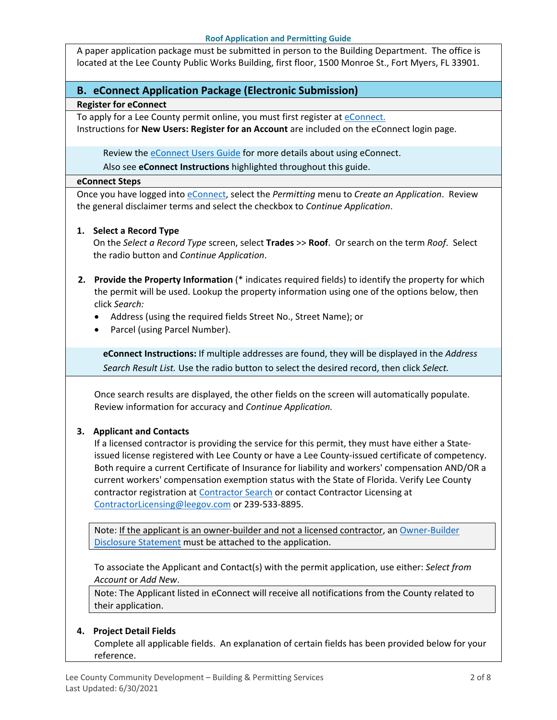A paper application package must be submitted in person to the Building Department. The office is located at the Lee County Public Works Building, first floor, 1500 Monroe St., Fort Myers, FL 33901.

## **B. eConnect Application Package (Electronic Submission)**

#### **Register for eConnect**

To apply for a Lee County permit online, you must first register at [eConnect.](https://accelaaca.leegov.com/aca/) Instructions for **New Users: Register for an Account** are included on the eConnect login page.

Review the **eConnect Users Guide** for more details about using eConnect.

Also see **eConnect Instructions** highlighted throughout this guide.

#### **eConnect Steps**

Once you have logged into [eConnect,](https://accelaaca.leegov.com/aca/) select the *Permitting* menu to *Create an Application*. Review the general disclaimer terms and select the checkbox to *Continue Application*.

#### **1. Select a Record Type**

On the *Select a Record Type* screen, select **Trades** >> **Roof**. Or search on the term *Roof*. Select the radio button and *Continue Application*.

- **2. Provide the Property Information** (\* indicates required fields) to identify the property for which the permit will be used. Lookup the property information using one of the options below, then click *Search:*
	- Address (using the required fields Street No., Street Name); or
	- Parcel (using Parcel Number).

**eConnect Instructions:** If multiple addresses are found, they will be displayed in the *Address Search Result List.* Use the radio button to select the desired record, then click *Select.*

Once search results are displayed, the other fields on the screen will automatically populate. Review information for accuracy and *Continue Application.*

### **3. Applicant and Contacts**

If a licensed contractor is providing the service for this permit, they must have either a Stateissued license registered with Lee County or have a Lee County-issued certificate of competency. Both require a current Certificate of Insurance for liability and workers' compensation AND/OR a current workers' compensation exemption status with the State of Florida. Verify Lee County contractor registration at [Contractor Search](https://www.leegov.com/dcd/ContLic/ActCont) or contact Contractor Licensing at [ContractorLicensing@leegov.com](mailto:ContractorLicensing@leegov.com) or 239-533-8895.

Note: If the applicant is an owner-builder and not a licensed contractor, a[n Owner-Builder](https://www.leegov.com/dcd/PermittingDocs/OwnerBldrDisclosure.pdf)  [Disclosure Statement](https://www.leegov.com/dcd/PermittingDocs/OwnerBldrDisclosure.pdf) must be attached to the application.

To associate the Applicant and Contact(s) with the permit application, use either: *Select from Account* or *Add New*.

Note: The Applicant listed in eConnect will receive all notifications from the County related to their application.

### **4. Project Detail Fields**

Complete all applicable fields. An explanation of certain fields has been provided below for your reference.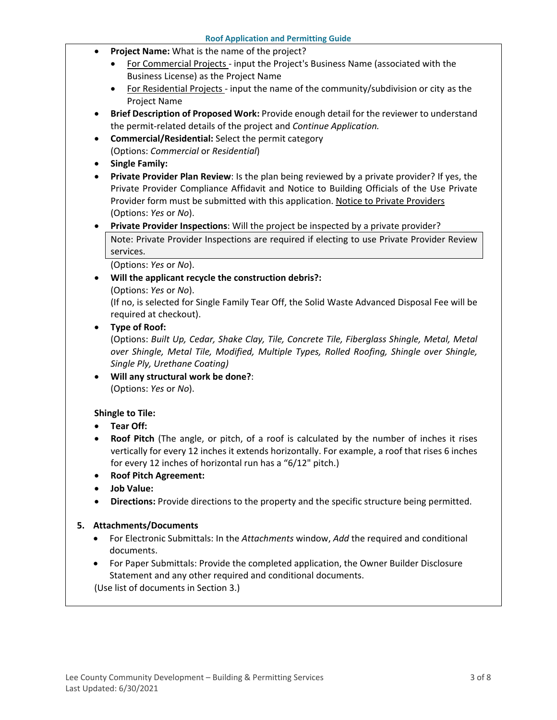- **Project Name:** What is the name of the project?
	- For Commercial Projects input the Project's Business Name (associated with the Business License) as the Project Name
	- For Residential Projects input the name of the community/subdivision or city as the Project Name
- **Brief Description of Proposed Work:** Provide enough detail for the reviewer to understand the permit-related details of the project and *Continue Application.*
- **Commercial/Residential:** Select the permit category (Options: *Commercial* or *Residential*)
- **Single Family:**
- **Private Provider Plan Review**: Is the plan being reviewed by a private provider? If yes, the Private Provider Compliance Affidavit and Notice to Building Officials of the Use Private Provider form must be submitted with this application. [Notice to Private Providers](https://www.floridabuilding.org/fbc/committees/Private_Providers/Private_Providers.htm) (Options: *Yes* or *No*).
- **Private Provider Inspections**: Will the project be inspected by a private provider?

Note: Private Provider Inspections are required if electing to use Private Provider Review services.

(Options: *Yes* or *No*).

• **Will the applicant recycle the construction debris?:**

(Options: *Yes* or *No*).

(If no, is selected for Single Family Tear Off, the Solid Waste Advanced Disposal Fee will be required at checkout).

### • **Type of Roof:**

(Options: *Built Up, Cedar, Shake Clay, Tile, Concrete Tile, Fiberglass Shingle, Metal, Metal over Shingle, Metal Tile, Modified, Multiple Types, Rolled Roofing, Shingle over Shingle, Single Ply, Urethane Coating)*

• **Will any structural work be done?**: (Options: *Yes* or *No*).

### **Shingle to Tile:**

- **Tear Off:**
- **Roof Pitch** (The angle, or pitch, of a roof is calculated by the number of inches it rises vertically for every 12 inches it extends horizontally. For example, a roof that rises 6 inches for every 12 inches of horizontal run has a "6/12" pitch.)
- **Roof Pitch Agreement:**
- **Job Value:**
- **Directions:** Provide directions to the property and the specific structure being permitted.

#### **5. Attachments/Documents**

- For Electronic Submittals: In the *Attachments* window, *Add* the required and conditional documents.
- For Paper Submittals: Provide the completed application, the Owner Builder Disclosure Statement and any other required and conditional documents.

(Use list of documents in Section 3.)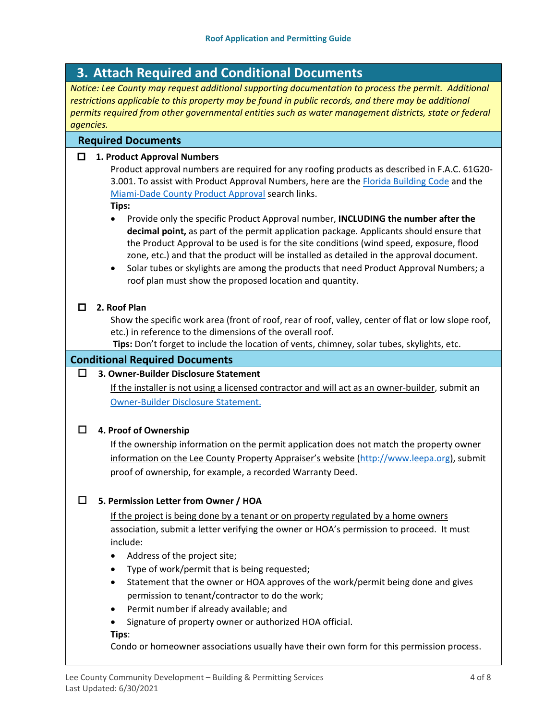# <span id="page-3-0"></span>**3. Attach Required and Conditional Documents**

*Notice: Lee County may request additional supporting documentation to process the permit. Additional*  restrictions applicable to this property may be found in public records, and there may be additional *permits required from other governmental entities such as water management districts, state or federal agencies.*

### **Required Documents**

### **1. Product Approval Numbers**

Product approval numbers are required for any roofing products as described in F.A.C. 61G20- 3.001. To assist with Product Approval Numbers, here are the [Florida Building Code](https://floridabuilding.org/pr/pr_default.aspx) and the [Miami-Dade County Product Approval](http://www.miamidade.gov/building/pc-search_app.asp) search links.

**Tips:**

- Provide only the specific Product Approval number, **INCLUDING the number after the decimal point,** as part of the permit application package. Applicants should ensure that the Product Approval to be used is for the site conditions (wind speed, exposure, flood zone, etc.) and that the product will be installed as detailed in the approval document.
- Solar tubes or skylights are among the products that need Product Approval Numbers; a roof plan must show the proposed location and quantity.

#### **2. Roof Plan**

Show the specific work area (front of roof, rear of roof, valley, center of flat or low slope roof, etc.) in reference to the dimensions of the overall roof.

**Tips:** Don't forget to include the location of vents, chimney, solar tubes, skylights, etc.

#### **Conditional Required Documents**

## **3. Owner-Builder Disclosure Statement**

If the installer is not using a licensed contractor and will act as an owner-builder, submit an [Owner-Builder Disclosure Statement.](https://www.leegov.com/dcd/PermittingDocs/OwnerBldrDisclosure.pdf)

### **4. Proof of Ownership**

If the ownership information on the permit application does not match the property owner information on the Lee County Property Appraiser's website [\(http://www.leepa.org\)](http://www.leepa.org/), submit proof of ownership, for example, a recorded Warranty Deed.

### **5. Permission Letter from Owner / HOA**

If the project is being done by a tenant or on property regulated by a home owners association, submit a letter verifying the owner or HOA's permission to proceed. It must include:

- Address of the project site;
- Type of work/permit that is being requested;
- Statement that the owner or HOA approves of the work/permit being done and gives permission to tenant/contractor to do the work;
- Permit number if already available; and
- Signature of property owner or authorized HOA official.

**Tips**:

Condo or homeowner associations usually have their own form for this permission process.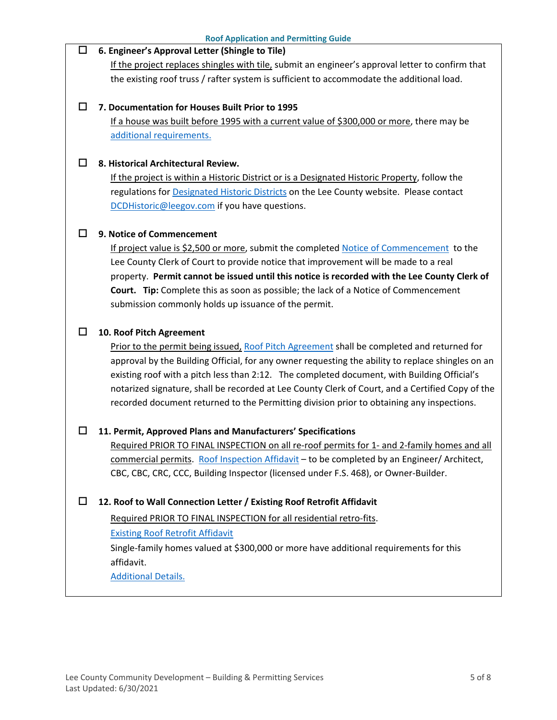| □ | 6. Engineer's Approval Letter (Shingle to Tile)                                                   |  |
|---|---------------------------------------------------------------------------------------------------|--|
|   | If the project replaces shingles with tile, submit an engineer's approval letter to confirm that  |  |
|   | the existing roof truss / rafter system is sufficient to accommodate the additional load.         |  |
| ப | 7. Documentation for Houses Built Prior to 1995                                                   |  |
|   | If a house was built before 1995 with a current value of \$300,000 or more, there may be          |  |
|   | additional requirements.                                                                          |  |
| ப | 8. Historical Architectural Review.                                                               |  |
|   | If the project is within a Historic District or is a Designated Historic Property, follow the     |  |
|   | regulations for <b>Designated Historic Districts</b> on the Lee County website. Please contact    |  |
|   | DCDHistoric@leegov.com if you have questions.                                                     |  |
| ப | 9. Notice of Commencement                                                                         |  |
|   | If project value is \$2,500 or more, submit the completed Notice of Commencement to the           |  |
|   | Lee County Clerk of Court to provide notice that improvement will be made to a real               |  |
|   | property. Permit cannot be issued until this notice is recorded with the Lee County Clerk of      |  |
|   | Court. Tip: Complete this as soon as possible; the lack of a Notice of Commencement               |  |
|   | submission commonly holds up issuance of the permit.                                              |  |
| □ | 10. Roof Pitch Agreement                                                                          |  |
|   | Prior to the permit being issued, Roof Pitch Agreement shall be completed and returned for        |  |
|   | approval by the Building Official, for any owner requesting the ability to replace shingles on an |  |
|   | existing roof with a pitch less than 2:12. The completed document, with Building Official's       |  |
|   | notarized signature, shall be recorded at Lee County Clerk of Court, and a Certified Copy of the  |  |
|   | recorded document returned to the Permitting division prior to obtaining any inspections.         |  |
| □ | 11. Permit, Approved Plans and Manufacturers' Specifications                                      |  |
|   | Required PRIOR TO FINAL INSPECTION on all re-roof permits for 1- and 2-family homes and all       |  |
|   | commercial permits. Roof Inspection Affidavit - to be completed by an Engineer/Architect,         |  |
|   | CBC, CBC, CRC, CCC, Building Inspector (licensed under F.S. 468), or Owner-Builder.               |  |
| □ | 12. Roof to Wall Connection Letter / Existing Roof Retrofit Affidavit                             |  |
|   | Required PRIOR TO FINAL INSPECTION for all residential retro-fits.                                |  |
|   | <b>Existing Roof Retrofit Affidavit</b>                                                           |  |
|   | Single-family homes valued at \$300,000 or more have additional requirements for this             |  |
|   | affidavit.                                                                                        |  |
|   | <b>Additional Details.</b>                                                                        |  |
|   |                                                                                                   |  |

**Roof Application and Permitting Guide**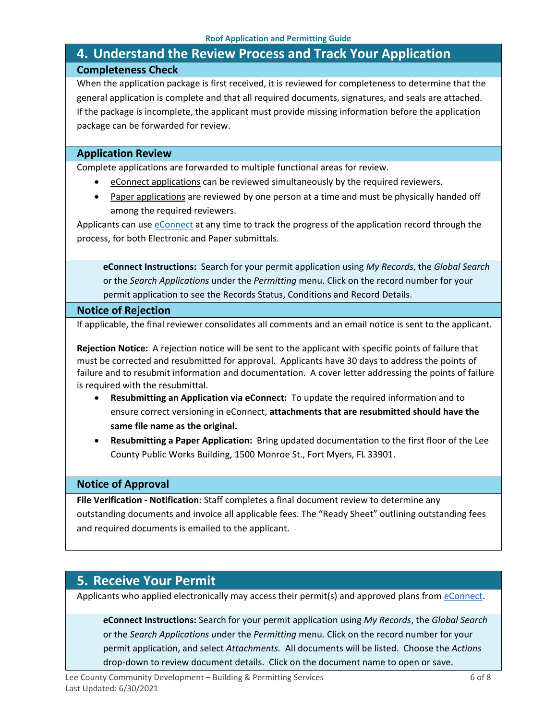# <span id="page-5-0"></span>**4. Understand the Review Process and Track Your Application Completeness Check**

When the application package is first received, it is reviewed for completeness to determine that the general application is complete and that all required documents, signatures, and seals are attached. If the package is incomplete, the applicant must provide missing information before the application package can be forwarded for review.

### **Application Review**

Complete applications are forwarded to multiple functional areas for review.

- eConnect applications can be reviewed simultaneously by the required reviewers.
- Paper applications are reviewed by one person at a time and must be physically handed off among the required reviewers.

Applicants can use [eConnect](https://accelaaca.leegov.com/aca/) at any time to track the progress of the application record through the process, for both Electronic and Paper submittals.

**eConnect Instructions:** Search for your permit application using *My Records*, the *Global Search* or the *Search Applications* under the *Permitting* menu. Click on the record number for your permit application to see the Records Status, Conditions and Record Details.

#### **Notice of Rejection**

If applicable, the final reviewer consolidates all comments and an email notice is sent to the applicant.

**Rejection Notice:** A rejection notice will be sent to the applicant with specific points of failure that must be corrected and resubmitted for approval. Applicants have 30 days to address the points of failure and to resubmit information and documentation. A cover letter addressing the points of failure is required with the resubmittal.

- **Resubmitting an Application via eConnect:** To update the required information and to ensure correct versioning in eConnect, **attachments that are resubmitted should have the same file name as the original.**
- **Resubmitting a Paper Application:** Bring updated documentation to the first floor of the Lee County Public Works Building, 1500 Monroe St., Fort Myers, FL 33901.

### **Notice of Approval**

**File Verification - Notification**: Staff completes a final document review to determine any outstanding documents and invoice all applicable fees. The "Ready Sheet" outlining outstanding fees and required documents is emailed to the applicant.

## <span id="page-5-1"></span>**5. Receive Your Permit**

Applicants who applied electronically may access their permit(s) and approved plans from [eConnect.](https://accelaaca.leegov.com/aca/)

**eConnect Instructions:** Search for your permit application using *My Records*, the *Global Search* or the *Search Applications u*nder the *Permitting* menu. Click on the record number for your permit application, and select *Attachments.* All documents will be listed. Choose the *Actions*  drop-down to review document details. Click on the document name to open or save.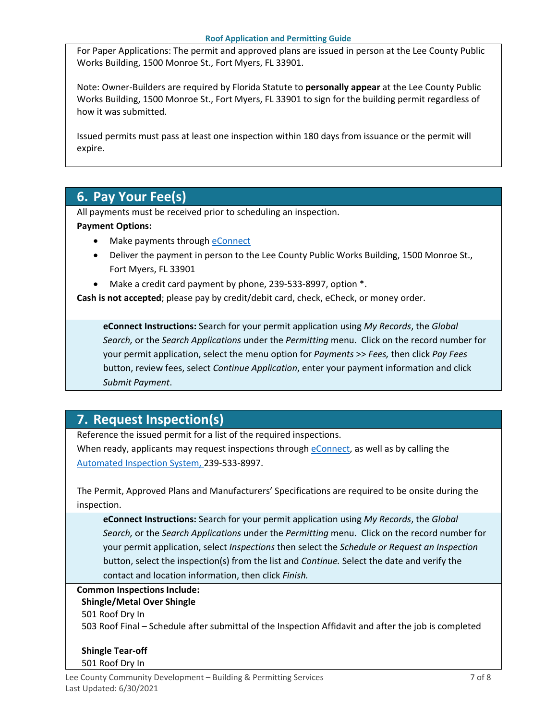For Paper Applications: The permit and approved plans are issued in person at the Lee County Public Works Building, 1500 Monroe St., Fort Myers, FL 33901.

Note: Owner-Builders are required by Florida Statute to **personally appear** at the Lee County Public Works Building, 1500 Monroe St., Fort Myers, FL 33901 to sign for the building permit regardless of how it was submitted.

Issued permits must pass at least one inspection within 180 days from issuance or the permit will expire.

# <span id="page-6-0"></span>**6. Pay Your Fee(s)**

All payments must be received prior to scheduling an inspection.

### **Payment Options:**

- Make payments through [eConnect](https://accelaaca.leegov.com/aca/)
- Deliver the payment in person to the Lee County Public Works Building, 1500 Monroe St., Fort Myers, FL 33901
- Make a credit card payment by phone, 239-533-8997, option \*.

**Cash is not accepted**; please pay by credit/debit card, check, eCheck, or money order.

**eConnect Instructions:** Search for your permit application using *My Records*, the *Global Search,* or the *Search Applications* under the *Permitting* menu. Click on the record number for your permit application, select the menu option for *Payments* >> *Fees,* then click *Pay Fees*  button, review fees, select *Continue Application*, enter your payment information and click *Submit Payment*.

# <span id="page-6-1"></span>**7. Request Inspection(s)**

Reference the issued permit for a list of the required inspections.

When ready, applicants may request inspections through [eConnect,](https://accelaaca.leegov.com/aca/) as well as by calling the [Automated Inspection System,](https://www.leegov.com/dcd/BldPermitServ/Insp/AutoInsp) 239-533-8997.

The Permit, Approved Plans and Manufacturers' Specifications are required to be onsite during the inspection.

**eConnect Instructions:** Search for your permit application using *My Records*, the *Global Search,* or the *Search Applications* under the *Permitting* menu. Click on the record number for your permit application, select *Inspections* then select the *Schedule or Request an Inspection* button, select the inspection(s) from the list and *Continue.* Select the date and verify the contact and location information, then click *Finish.*

### **Common Inspections Include:**

### **Shingle/Metal Over Shingle**

501 Roof Dry In 503 Roof Final – Schedule after submittal of the Inspection Affidavit and after the job is completed

**Shingle Tear-off** 501 Roof Dry In